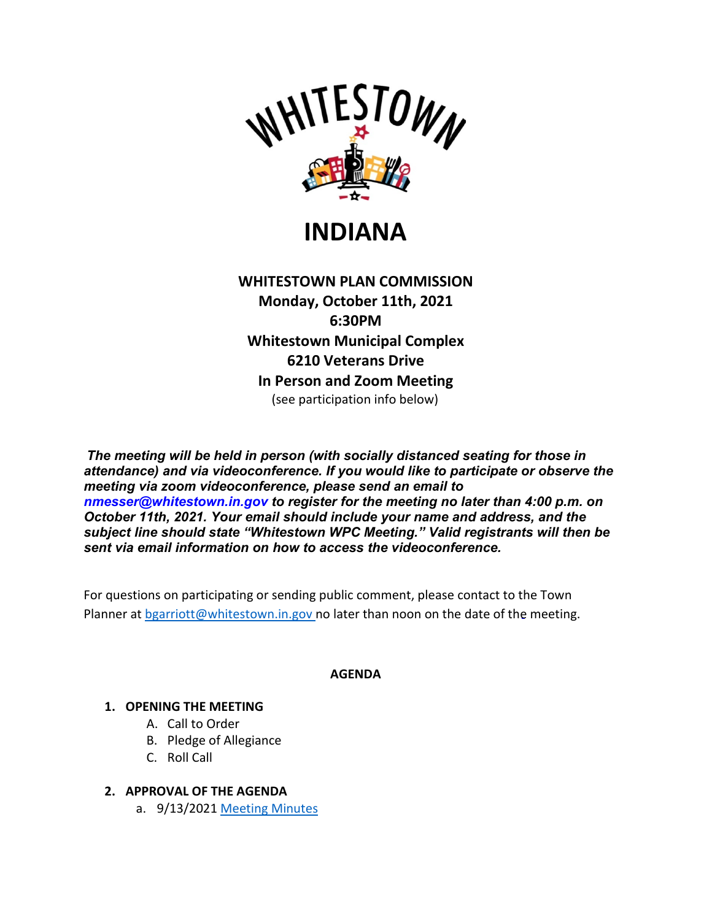

**INDIANA**

**WHITESTOWN PLAN COMMISSION Monday, October 11th, 2021 6:30PM Whitestown Municipal Complex 6210 Veterans Drive In Person and Zoom Meeting** (see participation info below)

*The meeting will be held in person (with socially distanced seating for those in attendance) and via videoconference. If you would like to participate or observe the meeting via zoom videoconference, please send an email to nmesser@whitestown.in.gov to register for the meeting no later than 4:00 p.m. on October 11th, 2021. Your email should include your name and address, and the subject line should state "Whitestown WPC Meeting." Valid registrants will then be sent via email information on how to access the videoconference.*

For questions on participating or sending public comment, please contact to the Town Planner at [bgarriott@whitestown.in.gov n](mailto:bgarriott@whitestown.in.gov)o later than noon on the date of the meeting.

## **AGENDA**

## **1. OPENING THE MEETING**

- A. Call to Order
- B. Pledge of Allegiance
- C. Roll Call
- **2. APPROVAL OF THE AGENDA**
	- a. 9/13/2021 [Meeting Minutes](https://whitestown.in.gov/vertical/sites/%7BB8BE8AC3-9DE8-4247-BCB0-1173F48CC7C3%7D/uploads/09-13-21_WPC_Meeting_Minutes.pdf)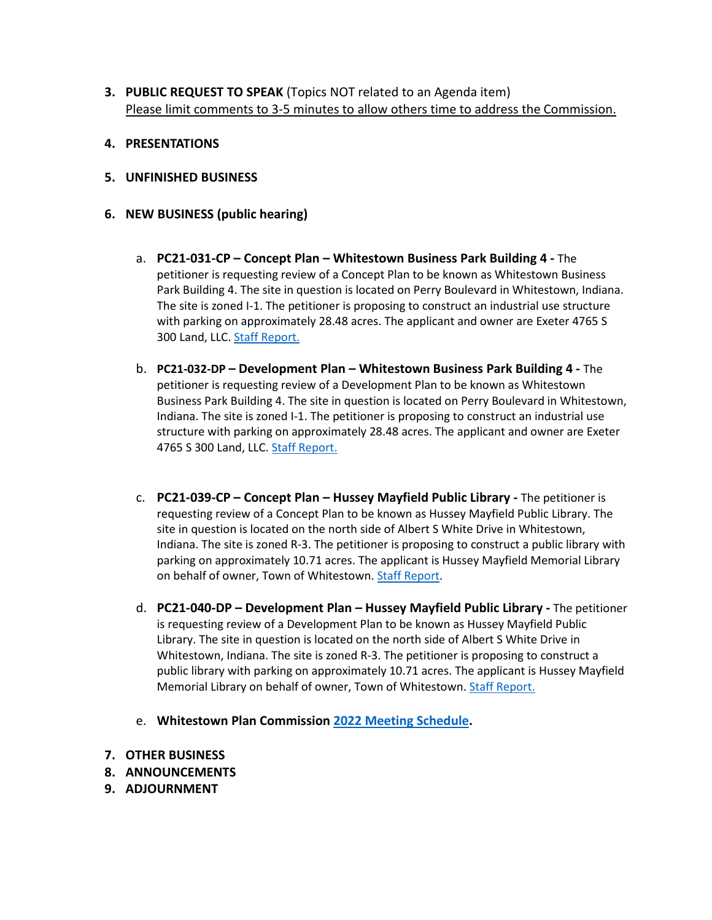- **3. PUBLIC REQUEST TO SPEAK** (Topics NOT related to an Agenda item) Please limit comments to 3-5 minutes to allow others time to address the Commission.
- **4. PRESENTATIONS**
- **5. UNFINISHED BUSINESS**
- **6. NEW BUSINESS (public hearing)**
	- a. **PC21-031-CP – Concept Plan – Whitestown Business Park Building 4 -** The petitioner is requesting review of a Concept Plan to be known as Whitestown Business Park Building 4. The site in question is located on Perry Boulevard in Whitestown, Indiana. The site is zoned I-1. The petitioner is proposing to construct an industrial use structure with parking on approximately 28.48 acres. The applicant and owner are Exeter 4765 S 300 Land, LLC. [Staff Report.](https://whitestown.in.gov/vertical/sites/%7BB8BE8AC3-9DE8-4247-BCB0-1173F48CC7C3%7D/uploads/Updated_Staff_Report_PC21-031-CP.pdf)
	- b. **PC21-032-DP – Development Plan – Whitestown Business Park Building 4 -** The petitioner is requesting review of a Development Plan to be known as Whitestown Business Park Building 4. The site in question is located on Perry Boulevard in Whitestown, Indiana. The site is zoned I-1. The petitioner is proposing to construct an industrial use structure with parking on approximately 28.48 acres. The applicant and owner are Exeter 4765 S 300 Land, LLC. [Staff Report.](https://whitestown.in.gov/vertical/sites/%7BB8BE8AC3-9DE8-4247-BCB0-1173F48CC7C3%7D/uploads/Updated_Staff_Report_PC21-032-DP.pdf)
	- c. **PC21-039-CP – Concept Plan – Hussey Mayfield Public Library -** The petitioner is requesting review of a Concept Plan to be known as Hussey Mayfield Public Library. The site in question is located on the north side of Albert S White Drive in Whitestown, Indiana. The site is zoned R-3. The petitioner is proposing to construct a public library with parking on approximately 10.71 acres. The applicant is Hussey Mayfield Memorial Library on behalf of owner, Town of Whitestown. [Staff Report.](https://whitestown.in.gov/vertical/sites/%7BB8BE8AC3-9DE8-4247-BCB0-1173F48CC7C3%7D/uploads/Staff_Report_PC21-039-CP.pdf)
	- d. **PC21-040-DP – Development Plan – Hussey Mayfield Public Library -** The petitioner is requesting review of a Development Plan to be known as Hussey Mayfield Public Library. The site in question is located on the north side of Albert S White Drive in Whitestown, Indiana. The site is zoned R-3. The petitioner is proposing to construct a public library with parking on approximately 10.71 acres. The applicant is Hussey Mayfield Memorial Library on behalf of owner, Town of Whitestown[. Staff Report.](https://whitestown.in.gov/vertical/sites/%7BB8BE8AC3-9DE8-4247-BCB0-1173F48CC7C3%7D/uploads/Staff_Report_PC21-040-DP.pdf)
	- e. **Whitestown Plan Commission [2022 Meeting Schedule.](https://whitestown.in.gov/vertical/sites/%7BB8BE8AC3-9DE8-4247-BCB0-1173F48CC7C3%7D/uploads/2022_WPC_Schedule.pdf)**
- **7. OTHER BUSINESS**
- **8. ANNOUNCEMENTS**
- **9. ADJOURNMENT**